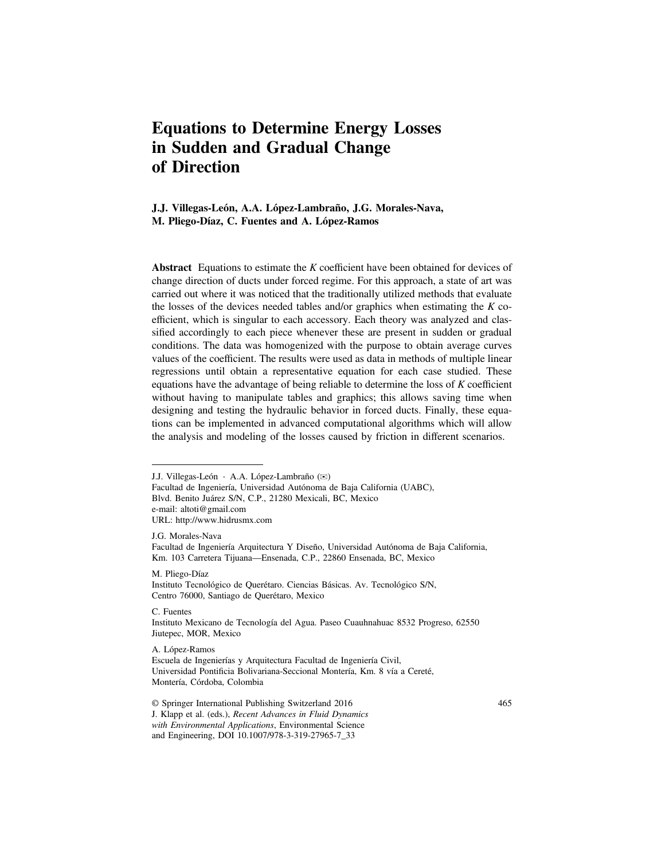# **Equations to Determine Energy Losses in Sudden and Gradual Change of Direction**

# **J.J. Villegas-León, A.A. López-Lambraño, J.G. Morales-Nava, M. Pliego-Díaz, C. Fuentes and A. López-Ramos**

**Abstract** Equations to estimate the *K* coefficient have been obtained for devices of change direction of ducts under forced regime. For this approach, a state of art was carried out where it was noticed that the traditionally utilized methods that evaluate the losses of the devices needed tables and/or graphics when estimating the *K* coefficient, which is singular to each accessory. Each theory was analyzed and classified accordingly to each piece whenever these are present in sudden or gradual conditions. The data was homogenized with the purpose to obtain average curves values of the coefficient. The results were used as data in methods of multiple linear regressions until obtain a representative equation for each case studied. These equations have the advantage of being reliable to determine the loss of *K* coefficient without having to manipulate tables and graphics; this allows saving time when designing and testing the hydraulic behavior in forced ducts. Finally, these equations can be implemented in advanced computational algorithms which will allow the analysis and modeling of the losses caused by friction in different scenarios.

e-mail: altoti@gmail.com URL: http://www.hidrusmx.com

J.G. Morales-Nava Facultad de Ingeniería Arquitectura Y Diseño, Universidad Autónoma de Baja California, Km. 103 Carretera Tijuana—Ensenada, C.P., 22860 Ensenada, BC, Mexico

M. Pliego-Díaz Instituto Tecnológico de Querétaro. Ciencias Básicas. Av. Tecnológico S/N, Centro 76000, Santiago de Querétaro, Mexico

C. Fuentes Instituto Mexicano de Tecnología del Agua. Paseo Cuauhnahuac 8532 Progreso, 62550 Jiutepec, MOR, Mexico

A. López-Ramos

465

J.J. Villegas-León ⋅ A.A. López-Lambraño (✉)

Facultad de Ingeniería, Universidad Autónoma de Baja California (UABC), Blvd. Benito Juárez S/N, C.P., 21280 Mexicali, BC, Mexico

Escuela de Ingenierías y Arquitectura Facultad de Ingeniería Civil, Universidad Pontificia Bolivariana-Seccional Montería, Km. 8 vía a Cereté, Montería, Córdoba, Colombia

<sup>©</sup> Springer International Publishing Switzerland 2016 J. Klapp et al. (eds.), *Recent Advances in Fluid Dynamics with Environmental Applications*, Environmental Science and Engineering, DOI 10.1007/978-3-319-27965-7\_33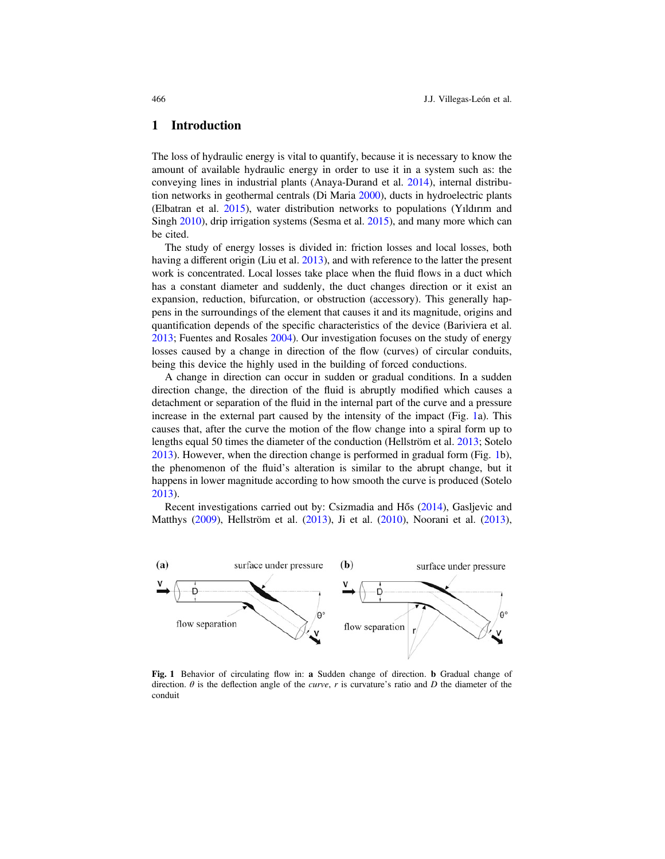# **1 Introduction**

The loss of hydraulic energy is vital to quantify, because it is necessary to know the amount of available hydraulic energy in order to use it in a system such as: the conveying lines in industrial plants (Anaya-Durand et al. 2014), internal distribution networks in geothermal centrals (Di Maria 2000), ducts in hydroelectric plants (Elbatran et al. 2015), water distribution networks to populations (Yıldırım and Singh 2010), drip irrigation systems (Sesma et al. 2015), and many more which can be cited.

The study of energy losses is divided in: friction losses and local losses, both having a different origin (Liu et al. 2013), and with reference to the latter the present work is concentrated. Local losses take place when the fluid flows in a duct which has a constant diameter and suddenly, the duct changes direction or it exist an expansion, reduction, bifurcation, or obstruction (accessory). This generally happens in the surroundings of the element that causes it and its magnitude, origins and quantification depends of the specific characteristics of the device (Bariviera et al. 2013; Fuentes and Rosales 2004). Our investigation focuses on the study of energy losses caused by a change in direction of the flow (curves) of circular conduits, being this device the highly used in the building of forced conductions.

A change in direction can occur in sudden or gradual conditions. In a sudden direction change, the direction of the fluid is abruptly modified which causes a detachment or separation of the fluid in the internal part of the curve and a pressure increase in the external part caused by the intensity of the impact (Fig. 1a). This causes that, after the curve the motion of the flow change into a spiral form up to lengths equal 50 times the diameter of the conduction (Hellström et al. 2013; Sotelo 2013). However, when the direction change is performed in gradual form (Fig. 1b), the phenomenon of the fluid's alteration is similar to the abrupt change, but it happens in lower magnitude according to how smooth the curve is produced (Sotelo 2013).

Recent investigations carried out by: Csizmadia and Hős (2014), Gasljevic and Matthys (2009), Hellström et al. (2013), Ji et al. (2010), Noorani et al. (2013),



**Fig. 1** Behavior of circulating flow in: **a** Sudden change of direction. **b** Gradual change of direction. *θ* is the deflection angle of the *curve*, *r* is curvature's ratio and *D* the diameter of the conduit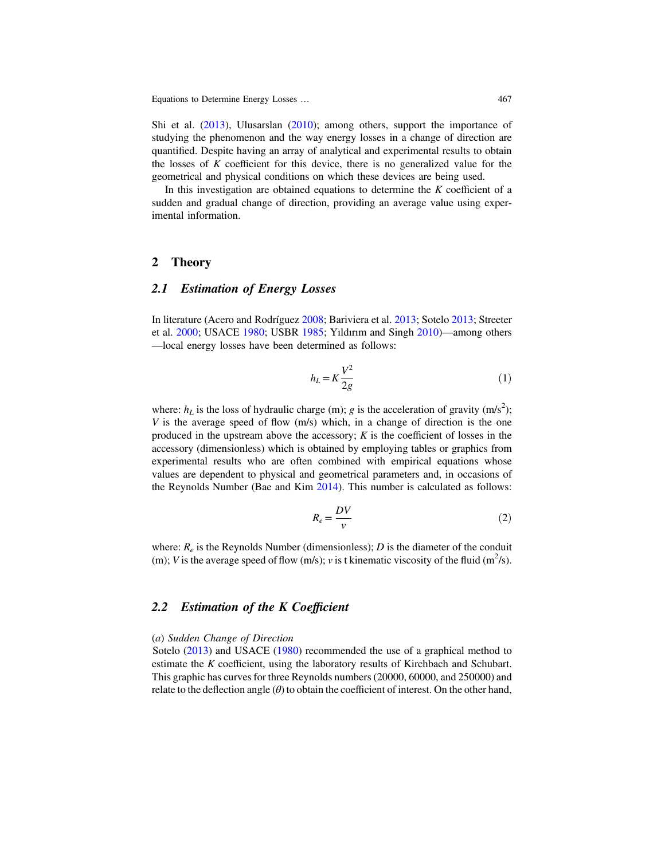Shi et al. (2013), Ulusarslan (2010); among others, support the importance of studying the phenomenon and the way energy losses in a change of direction are quantified. Despite having an array of analytical and experimental results to obtain the losses of *K* coefficient for this device, there is no generalized value for the geometrical and physical conditions on which these devices are being used.

In this investigation are obtained equations to determine the *K* coefficient of a sudden and gradual change of direction, providing an average value using experimental information.

## **2 Theory**

## *2.1 Estimation of Energy Losses*

In literature (Acero and Rodríguez 2008; Bariviera et al. 2013; Sotelo 2013; Streeter et al. 2000; USACE 1980; USBR 1985; Yıldırım and Singh 2010)—among others —local energy losses have been determined as follows:

$$
h_L = K \frac{V^2}{2g} \tag{1}
$$

where:  $h_L$  is the loss of hydraulic charge (m); *g* is the acceleration of gravity (m/s<sup>2</sup>); *V* is the average speed of flow (m/s) which, in a change of direction is the one produced in the upstream above the accessory; *K* is the coefficient of losses in the accessory (dimensionless) which is obtained by employing tables or graphics from experimental results who are often combined with empirical equations whose values are dependent to physical and geometrical parameters and, in occasions of the Reynolds Number (Bae and Kim 2014). This number is calculated as follows:

$$
R_e = \frac{DV}{v} \tag{2}
$$

where:  $R_e$  is the Reynolds Number (dimensionless);  $D$  is the diameter of the conduit (m); *V* is the average speed of flow (m/s); *v* is t kinematic viscosity of the fluid (m<sup>2</sup>/s).

# *2.2 Estimation of the K Coefficient*

#### (*a*) *Sudden Change of Direction*

Sotelo (2013) and USACE (1980) recommended the use of a graphical method to estimate the *K* coefficient, using the laboratory results of Kirchbach and Schubart. This graphic has curves for three Reynolds numbers (20000, 60000, and 250000) and relate to the deflection angle  $(\theta)$  to obtain the coefficient of interest. On the other hand,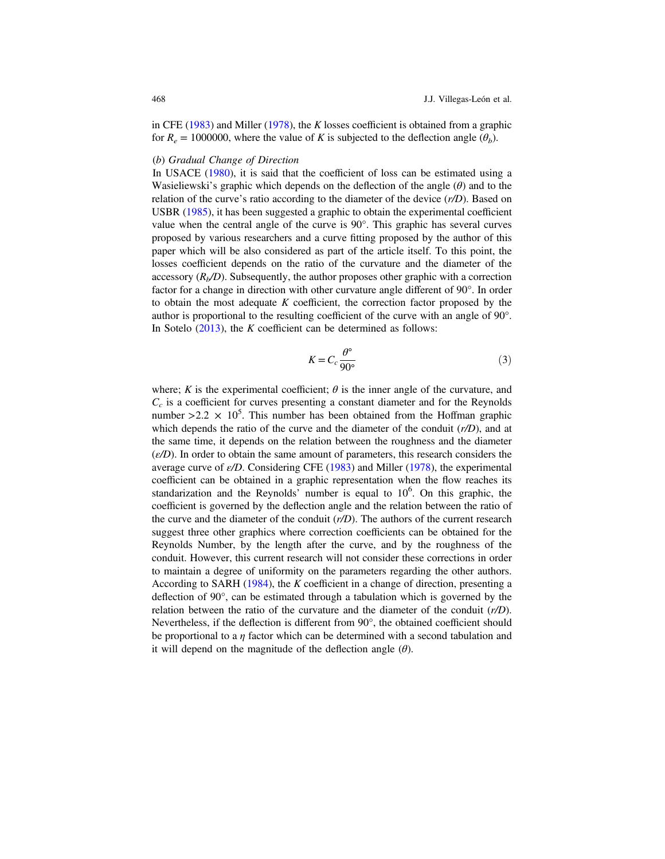in CFE (1983) and Miller (1978), the *K* losses coefficient is obtained from a graphic for  $R_e = 1000000$ , where the value of *K* is subjected to the deflection angle  $(\theta_b)$ .

#### (*b*) *Gradual Change of Direction*

In USACE (1980), it is said that the coefficient of loss can be estimated using a Wasieliewski's graphic which depends on the deflection of the angle (*θ*) and to the relation of the curve's ratio according to the diameter of the device (*r/D*). Based on USBR (1985), it has been suggested a graphic to obtain the experimental coefficient value when the central angle of the curve is 90°. This graphic has several curves proposed by various researchers and a curve fitting proposed by the author of this paper which will be also considered as part of the article itself. To this point, the losses coefficient depends on the ratio of the curvature and the diameter of the accessory  $(R<sub>p</sub>/D)$ . Subsequently, the author proposes other graphic with a correction factor for a change in direction with other curvature angle different of 90°. In order to obtain the most adequate *K* coefficient, the correction factor proposed by the author is proportional to the resulting coefficient of the curve with an angle of 90°. In Sotelo (2013), the *K* coefficient can be determined as follows: *θ*◦ subjected to the deflection angle (θ<sub>b</sub>).<br>
icient of loss can be estimated using a<br>
he deflection of the angle (θ) and to the<br>
e diameter of the device (r/D). Based on<br>
ic to obtain the experimental coefficient<br>
is 90°.

$$
K = C_c \frac{\theta^{\circ}}{90^{\circ}} \tag{3}
$$

where; *K* is the experimental coefficient;  $\theta$  is the inner angle of the curvature, and  $C_c$  is a coefficient for curves presenting a constant diameter and for the Reynolds number >2.2  $\times$  10<sup>5</sup>. This number has been obtained from the Hoffman graphic which depends the ratio of the curve and the diameter of the conduit (*r/D*), and at the same time, it depends on the relation between the roughness and the diameter (*ε/D*). In order to obtain the same amount of parameters, this research considers the average curve of *ε/D*. Considering CFE (1983) and Miller (1978), the experimental coefficient can be obtained in a graphic representation when the flow reaches its standarization and the Reynolds' number is equal to  $10^6$ . On this graphic, the coefficient is governed by the deflection angle and the relation between the ratio of the curve and the diameter of the conduit (*r/D*). The authors of the current research suggest three other graphics where correction coefficients can be obtained for the Reynolds Number, by the length after the curve, and by the roughness of the conduit. However, this current research will not consider these corrections in order to maintain a degree of uniformity on the parameters regarding the other authors. According to SARH (1984), the *K* coefficient in a change of direction, presenting a deflection of 90°, can be estimated through a tabulation which is governed by the relation between the ratio of the curvature and the diameter of the conduit (*r/D*). Nevertheless, if the deflection is different from 90°, the obtained coefficient should be proportional to a *η* factor which can be determined with a second tabulation and it will depend on the magnitude of the deflection angle (*θ*).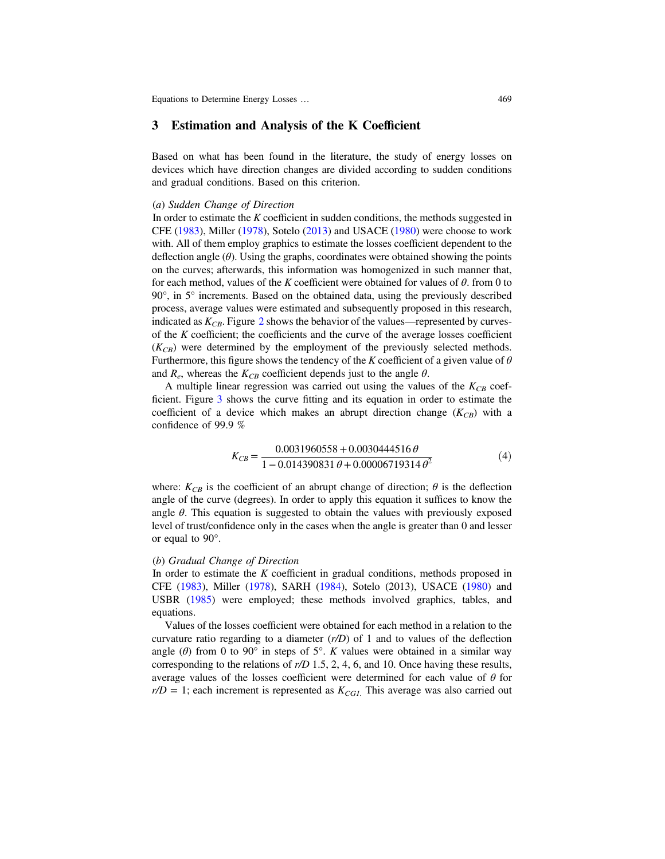## **3** Estimation and Analysis of the K Coefficient

Based on what has been found in the literature, the study of energy losses on devices which have direction changes are divided according to sudden conditions and gradual conditions. Based on this criterion.

#### (*a*) *Sudden Change of Direction*

In order to estimate the *K* coefficient in sudden conditions, the methods suggested in CFE (1983), Miller (1978), Sotelo (2013) and USACE (1980) were choose to work with. All of them employ graphics to estimate the losses coefficient dependent to the deflection angle (*θ*). Using the graphs, coordinates were obtained showing the points on the curves; afterwards, this information was homogenized in such manner that, for each method, values of the *K* coefficient were obtained for values of *θ*. from 0 to 90°, in 5° increments. Based on the obtained data, using the previously described process, average values were estimated and subsequently proposed in this research, indicated as  $K_{CB}$ . Figure 2 shows the behavior of the values—represented by curvesof the *K* coefficient; the coefficients and the curve of the average losses coefficient  $(K_{CB})$  were determined by the employment of the previously selected methods. Furthermore, this figure shows the tendency of the *K* coefficient of a given value of *θ* and  $R_e$ , whereas the  $K_{CB}$  coefficient depends just to the angle  $\theta$ .

A multiple linear regression was carried out using the values of the  $K_{CB}$  coefficient. Figure 3 shows the curve fitting and its equation in order to estimate the coefficient of a device which makes an abrupt direction change  $(K_{CB})$  with a confidence of 99.9 %

$$
K_{CB} = \frac{0.0031960558 + 0.0030444516 \theta}{1 - 0.014390831 \theta + 0.00006719314 \theta^2}
$$
(4)

where:  $K_{CB}$  is the coefficient of an abrupt change of direction;  $\theta$  is the deflection angle of the curve (degrees). In order to apply this equation it suffices to know the angle  $\theta$ . This equation is suggested to obtain the values with previously exposed level of trust/confidence only in the cases when the angle is greater than 0 and lesser or equal to 90°.

### (*b*) *Gradual Change of Direction*

In order to estimate the *K* coefficient in gradual conditions, methods proposed in CFE (1983), Miller (1978), SARH (1984), Sotelo (2013), USACE (1980) and USBR (1985) were employed; these methods involved graphics, tables, and equations.

Values of the losses coefficient were obtained for each method in a relation to the curvature ratio regarding to a diameter (*r/D*) of 1 and to values of the deflection angle ( $\theta$ ) from 0 to 90° in steps of 5°. *K* values were obtained in a similar way corresponding to the relations of *r/D* 1.5, 2, 4, 6, and 10. Once having these results, average values of the losses coefficient were determined for each value of *θ* for  $r/D = 1$ ; each increment is represented as  $K_{CGI}$ . This average was also carried out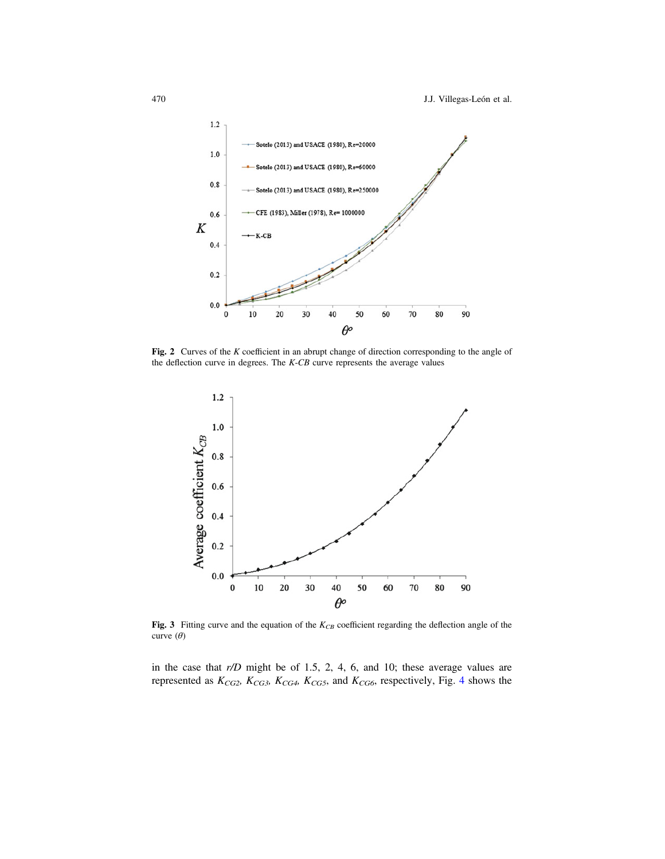470 J.J. Villegas-León et al.



**Fig. 2** Curves of the *K* coefficient in an abrupt change of direction corresponding to the angle of the deflection curve in degrees. The *K*-*CB* curve represents the average values



Fig. 3 Fitting curve and the equation of the  $K_{CB}$  coefficient regarding the deflection angle of the curve (*θ*)

in the case that *r/D* might be of 1.5, 2, 4, 6, and 10; these average values are represented as  $K_{CG2}$ ,  $K_{CG3}$ ,  $K_{CG4}$ ,  $K_{CG5}$ , and  $K_{CG6}$ , respectively, Fig. 4 shows the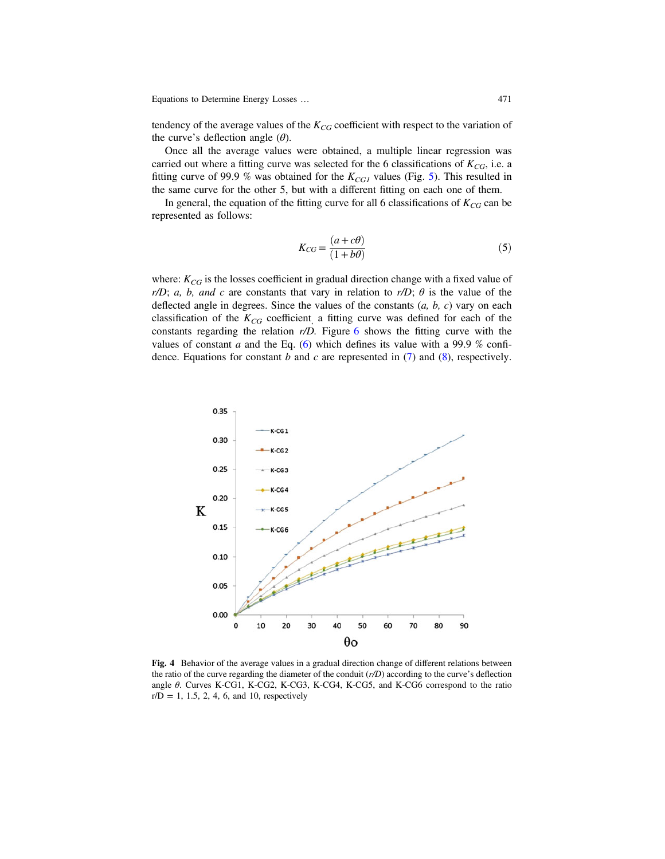tendency of the average values of the  $K_{CG}$  coefficient with respect to the variation of the curve's deflection angle (*θ*).

Once all the average values were obtained, a multiple linear regression was carried out where a fitting curve was selected for the 6 classifications of  $K_{CG}$ , i.e. a fitting curve of 99.9 % was obtained for the  $K_{CGI}$  values (Fig. 5). This resulted in the same curve for the other 5, but with a different fitting on each one of them.

In general, the equation of the fitting curve for all 6 classifications of  $K_{CG}$  can be represented as follows:

$$
K_{CG} = \frac{(a+c\theta)}{(1+b\theta)}\tag{5}
$$

where:  $K_{CG}$  is the losses coefficient in gradual direction change with a fixed value of *r*/D; *a*, *b*, *and c* are constants that vary in relation to *r*/D;  $\theta$  is the value of the deflected angle in degrees. Since the values of the constants (*a, b, c*) vary on each classification of the  $K_{CG}$  coefficient, a fitting curve was defined for each of the constants regarding the relation *r/D.* Figure 6 shows the fitting curve with the values of constant *a* and the Eq. (6) which defines its value with a 99.9 % confidence. Equations for constant *b* and *c* are represented in (7) and (8), respectively.



**Fig. 4** Behavior of the average values in a gradual direction change of different relations between the ratio of the curve regarding the diameter of the conduit (*r/D*) according to the curve's deflection angle *θ.* Curves K-CG1, K-CG2, K-CG3, K-CG4, K-CG5, and K-CG6 correspond to the ratio  $r/D = 1, 1.5, 2, 4, 6, and 10, respectively$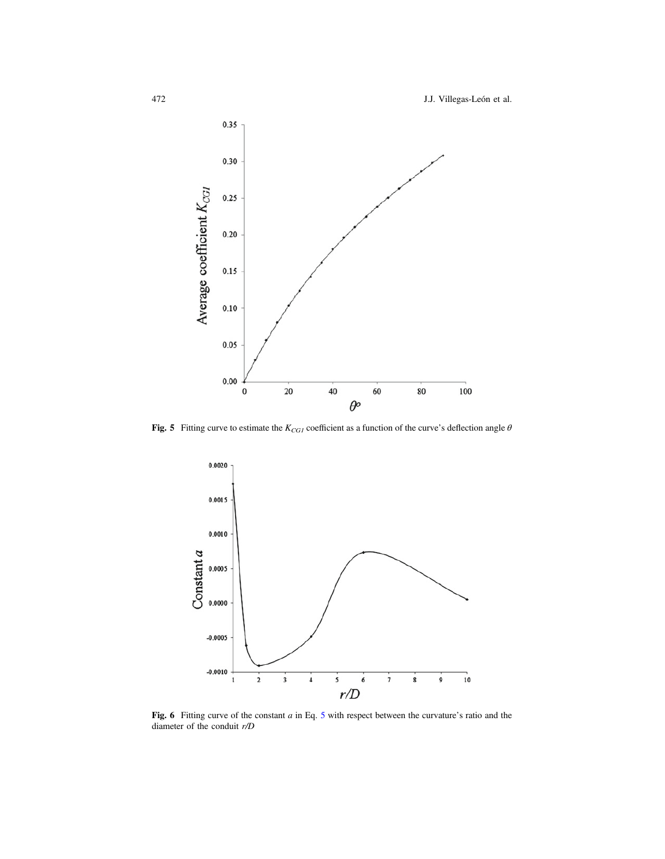

**Fig. 5** Fitting curve to estimate the  $K_{CGI}$  coefficient as a function of the curve's deflection angle  $\theta$ 



**Fig. 6** Fitting curve of the constant *a* in Eq. 5 with respect between the curvature's ratio and the diameter of the conduit *r/D*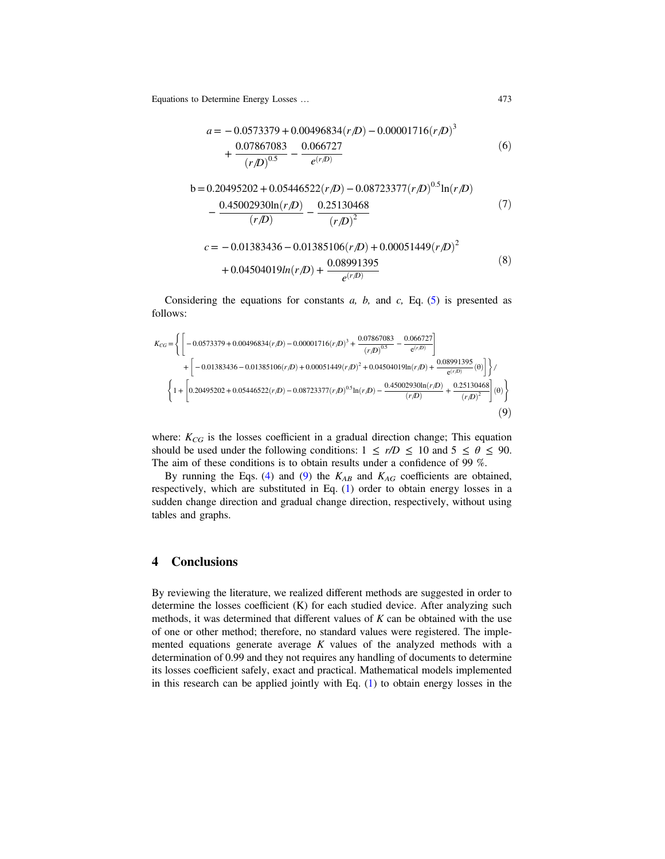$$
a = -0.0573379 + 0.00496834(r/D) - 0.00001716(r/D)3 + \frac{0.07867083}{(r/D)0.5} - \frac{0.066727}{e^{(r/D)}}
$$
(6)

$$
b = 0.20495202 + 0.05446522(r/D) - 0.08723377(r/D)^{0.5} \ln(r/D)
$$
  
 
$$
- \frac{0.45002930 \ln(r/D)}{(r/D)} - \frac{0.25130468}{(r/D)^{2}}
$$
  
\n
$$
c = -0.01383436 - 0.01385106(r/D) + 0.00051449(r/D)^{2}
$$

$$
+ 0.04504019 \ln(r/D) + \frac{0.08991395}{e^{(r/D)}}
$$
\n(8)

Considering the equations for constants *a, b,* and *c,* Eq. (5) is presented as follows:

$$
K_{CG} = \left\{ \left[ -0.0573379 + 0.00496834(r/D) - 0.00001716(r/D)^3 + \frac{0.07867083}{(r/D)^{0.5}} - \frac{0.066727}{e^{(r/D)}} \right] + \left[ -0.01383436 - 0.01385106(r/D) + 0.00051449(r/D)^2 + 0.04504019\ln(r/D) + \frac{0.08991395}{e^{(r/D)}}(\theta) \right] \right\} / \left\{ 1 + \left[ 0.20495202 + 0.05446522(r/D) - 0.08723377(r/D)^{0.5} \ln(r/D) - \frac{0.45002930\ln(r/D)}{(r/D)} + \frac{0.25130468}{(r/D)^2} \right] (\theta) \right\} \tag{9}
$$

where:  $K_{CG}$  is the losses coefficient in a gradual direction change; This equation should be used under the following conditions:  $1 \le r/D \le 10$  and  $5 \le \theta \le 90$ . The aim of these conditions is to obtain results under a confidence of 99 %.

By running the Eqs. (4) and (9) the  $K_{AB}$  and  $K_{AG}$  coefficients are obtained, respectively, which are substituted in Eq. (1) order to obtain energy losses in a sudden change direction and gradual change direction, respectively, without using tables and graphs.

# **4 Conclusions**

By reviewing the literature, we realized different methods are suggested in order to determine the losses coefficient (K) for each studied device. After analyzing such methods, it was determined that different values of *K* can be obtained with the use of one or other method; therefore, no standard values were registered. The implemented equations generate average *K* values of the analyzed methods with a determination of 0.99 and they not requires any handling of documents to determine its losses coefficient safely, exact and practical. Mathematical models implemented in this research can be applied jointly with Eq. (1) to obtain energy losses in the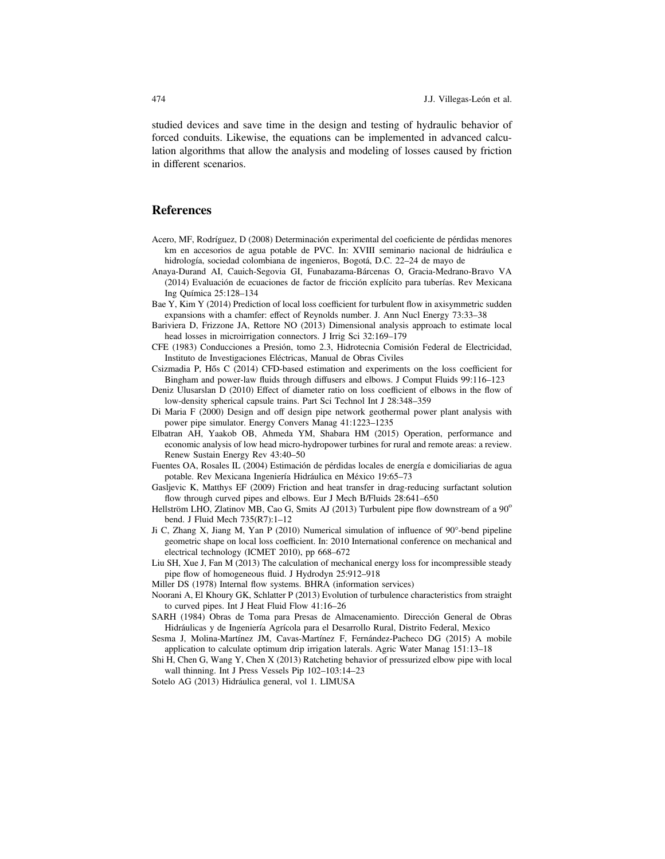474 J.J. Villegas-León et al.

studied devices and save time in the design and testing of hydraulic behavior of forced conduits. Likewise, the equations can be implemented in advanced calculation algorithms that allow the analysis and modeling of losses caused by friction in different scenarios.

# **References**

- Acero, MF, Rodríguez, D (2008) Determinación experimental del coeficiente de pérdidas menores km en accesorios de agua potable de PVC. In: XVIII seminario nacional de hidráulica e hidrología, sociedad colombiana de ingenieros, Bogotá, D.C. 22–24 de mayo de
- Anaya-Durand AI, Cauich-Segovia GI, Funabazama-Bárcenas O, Gracia-Medrano-Bravo VA (2014) Evaluación de ecuaciones de factor de fricción explícito para tuberías. Rev Mexicana Ing Química 25:128–134
- Bae Y, Kim Y (2014) Prediction of local loss coefficient for turbulent flow in axisymmetric sudden expansions with a chamfer: effect of Reynolds number. J. Ann Nucl Energy 73:33–38
- Bariviera D, Frizzone JA, Rettore NO (2013) Dimensional analysis approach to estimate local head losses in microirrigation connectors. J Irrig Sci 32:169–179
- CFE (1983) Conducciones a Presión, tomo 2.3, Hidrotecnia Comisión Federal de Electricidad, Instituto de Investigaciones Eléctricas, Manual de Obras Civiles
- Csizmadia P, Hős C (2014) CFD-based estimation and experiments on the loss coefficient for Bingham and power-law fluids through diffusers and elbows. J Comput Fluids 99:116–123
- Deniz Ulusarslan D (2010) Effect of diameter ratio on loss coefficient of elbows in the flow of low-density spherical capsule trains. Part Sci Technol Int J 28:348–359
- Di Maria F (2000) Design and off design pipe network geothermal power plant analysis with power pipe simulator. Energy Convers Manag 41:1223–1235
- Elbatran AH, Yaakob OB, Ahmeda YM, Shabara HM (2015) Operation, performance and economic analysis of low head micro-hydropower turbines for rural and remote areas: a review. Renew Sustain Energy Rev 43:40–50
- Fuentes OA, Rosales IL (2004) Estimación de pérdidas locales de energía e domiciliarias de agua potable. Rev Mexicana Ingeniería Hidráulica en México 19:65–73
- Gasljevic K, Matthys EF (2009) Friction and heat transfer in drag-reducing surfactant solution flow through curved pipes and elbows. Eur J Mech B/Fluids 28:641–650
- Hellström LHO, Zlatinov MB, Cao G, Smits AJ (2013) Turbulent pipe flow downstream of a 90<sup>o</sup> bend. J Fluid Mech 735(R7):1–12
- Ji C, Zhang X, Jiang M, Yan P (2010) Numerical simulation of influence of 90°-bend pipeline geometric shape on local loss coefficient. In: 2010 International conference on mechanical and electrical technology (ICMET 2010), pp 668–672
- Liu SH, Xue J, Fan M (2013) The calculation of mechanical energy loss for incompressible steady pipe flow of homogeneous fluid. J Hydrodyn 25:912–918
- Miller DS (1978) Internal flow systems. BHRA (information services)
- Noorani A, El Khoury GK, Schlatter P (2013) Evolution of turbulence characteristics from straight to curved pipes. Int J Heat Fluid Flow 41:16–26
- SARH (1984) Obras de Toma para Presas de Almacenamiento. Dirección General de Obras Hidráulicas y de Ingeniería Agrícola para el Desarrollo Rural, Distrito Federal, Mexico
- Sesma J, Molina-Martínez JM, Cavas-Martínez F, Fernández-Pacheco DG (2015) A mobile application to calculate optimum drip irrigation laterals. Agric Water Manag 151:13–18
- Shi H, Chen G, Wang Y, Chen X (2013) Ratcheting behavior of pressurized elbow pipe with local wall thinning. Int J Press Vessels Pip 102–103:14–23
- Sotelo AG (2013) Hidráulica general, vol 1. LIMUSA